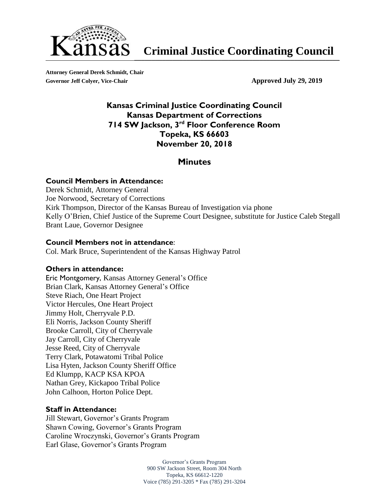

**Attorney General Derek Schmidt, Chair** Governor Jeff Colyer, Vice-Chair **Approved July 29, 2019** 

### **Kansas Criminal Justice Coordinating Council Kansas Department of Corrections 714 SW Jackson, 3 rd Floor Conference Room Topeka, KS 66603 November 20, 2018**

### **Minutes**

### **Council Members in Attendance:**

Derek Schmidt, Attorney General Joe Norwood, Secretary of Corrections Kirk Thompson, Director of the Kansas Bureau of Investigation via phone Kelly O'Brien, Chief Justice of the Supreme Court Designee, substitute for Justice Caleb Stegall Brant Laue, Governor Designee

### **Council Members not in attendance**:

Col. Mark Bruce, Superintendent of the Kansas Highway Patrol

### **Others in attendance:**

Eric Montgomery, Kansas Attorney General's Office Brian Clark, Kansas Attorney General's Office Steve Riach, One Heart Project Victor Hercules, One Heart Project Jimmy Holt, Cherryvale P.D. Eli Norris, Jackson County Sheriff Brooke Carroll, City of Cherryvale Jay Carroll, City of Cherryvale Jesse Reed, City of Cherryvale Terry Clark, Potawatomi Tribal Police Lisa Hyten, Jackson County Sheriff Office Ed Klumpp, KACP KSA KPOA Nathan Grey, Kickapoo Tribal Police John Calhoon, Horton Police Dept.

#### **Staff in Attendance:**

Jill Stewart, Governor's Grants Program Shawn Cowing, Governor's Grants Program Caroline Wroczynski, Governor's Grants Program Earl Glase, Governor's Grants Program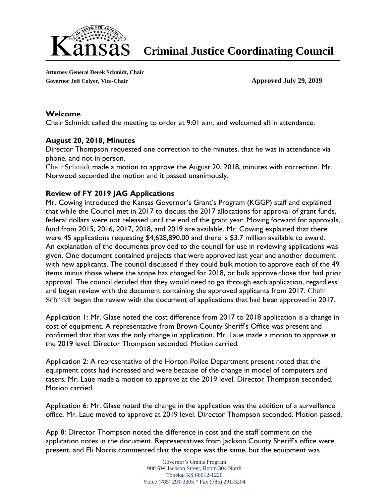

**Attorney General Derek Schmidt, Chair** Governor Jeff Colyer, Vice-Chair **Approved July 29, 2019** 

### **Welcome**

Chair Schmidt called the meeting to order at 9:01 a.m. and welcomed all in attendance.

### **August 20, 2018, Minutes**

Director Thompson requested one correction to the minutes, that he was in attendance via phone, and not in person.

Chair Schmidt made a motion to approve the August 20, 2018, minutes with correction. Mr. Norwood seconded the motion and it passed unanimously.

### **Review of FY 2019 JAG Applications**

Mr. Cowing introduced the Kansas Governor's Grant's Program (KGGP) staff and explained that while the Council met in 2017 to discuss the 2017 allocations for approval of grant funds, federal dollars were not released until the end of the grant year. Moving forward for approvals, fund from 2015, 2016, 2017, 2018, and 2019 are available. Mr. Cowing explained that there were 45 applications requesting \$4,628,890.00 and there is \$3.7 million available to award. An explanation of the documents provided to the council for use in reviewing applications was given. One document contained projects that were approved last year and another document with new applicants. The council discussed if they could bulk motion to approve each of the 49 items minus those where the scope has changed for 2018, or bulk approve those that had prior approval. The council decided that they would need to go through each application, regardless and began review with the document containing the approved applicants from 2017. Chair Schmidt began the review with the document of applications that had been approved in 2017.

Application 1: Mr. Glase noted the cost difference from 2017 to 2018 application is a change in cost of equipment. A representative from Brown County Sheriff's Office was present and confirmed that that was the only change in application. Mr. Laue made a motion to approve at the 2019 level. Director Thompson seconded. Motion carried.

Application 2: A representative of the Horton Police Department present noted that the equipment costs had increased and were because of the change in model of computers and tasers. Mr. Laue made a motion to approve at the 2019 level. Director Thompson seconded. Motion carried

Application 6: Mr. Glase noted the change in the application was the addition of a surveillance office. Mr. Laue moved to approve at 2019 level. Director Thompson seconded. Motion passed.

App 8: Director Thompson noted the difference in cost and the staff comment on the application notes in the document. Representatives from Jackson County Sheriff's office were present, and Eli Norris commented that the scope was the same, but the equipment was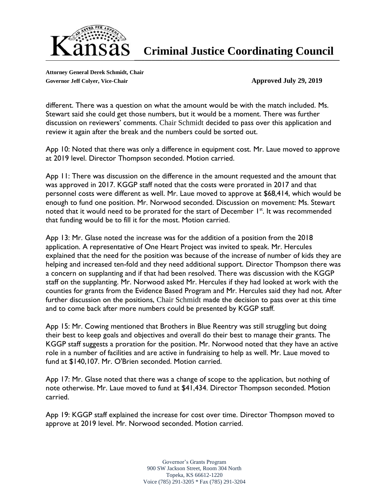

**Attorney General Derek Schmidt, Chair** Governor Jeff Colyer, Vice-Chair **Approved July 29, 2019** 

different. There was a question on what the amount would be with the match included. Ms. Stewart said she could get those numbers, but it would be a moment. There was further discussion on reviewers' comments. Chair Schmidt decided to pass over this application and review it again after the break and the numbers could be sorted out.

App 10: Noted that there was only a difference in equipment cost. Mr. Laue moved to approve at 2019 level. Director Thompson seconded. Motion carried.

App 11: There was discussion on the difference in the amount requested and the amount that was approved in 2017. KGGP staff noted that the costs were prorated in 2017 and that personnel costs were different as well. Mr. Laue moved to approve at \$68,414, which would be enough to fund one position. Mr. Norwood seconded. Discussion on movement: Ms. Stewart noted that it would need to be prorated for the start of December  $1<sup>st</sup>$ . It was recommended that funding would be to fill it for the most. Motion carried.

App 13: Mr. Glase noted the increase was for the addition of a position from the 2018 application. A representative of One Heart Project was invited to speak. Mr. Hercules explained that the need for the position was because of the increase of number of kids they are helping and increased ten-fold and they need additional support. Director Thompson there was a concern on supplanting and if that had been resolved. There was discussion with the KGGP staff on the supplanting. Mr. Norwood asked Mr. Hercules if they had looked at work with the counties for grants from the Evidence Based Program and Mr. Hercules said they had not. After further discussion on the positions, Chair Schmidt made the decision to pass over at this time and to come back after more numbers could be presented by KGGP staff.

App 15: Mr. Cowing mentioned that Brothers in Blue Reentry was still struggling but doing their best to keep goals and objectives and overall do their best to manage their grants. The KGGP staff suggests a proration for the position. Mr. Norwood noted that they have an active role in a number of facilities and are active in fundraising to help as well. Mr. Laue moved to fund at \$140,107. Mr. O'Brien seconded. Motion carried.

App 17: Mr. Glase noted that there was a change of scope to the application, but nothing of note otherwise. Mr. Laue moved to fund at \$41,434. Director Thompson seconded. Motion carried.

App 19: KGGP staff explained the increase for cost over time. Director Thompson moved to approve at 2019 level. Mr. Norwood seconded. Motion carried.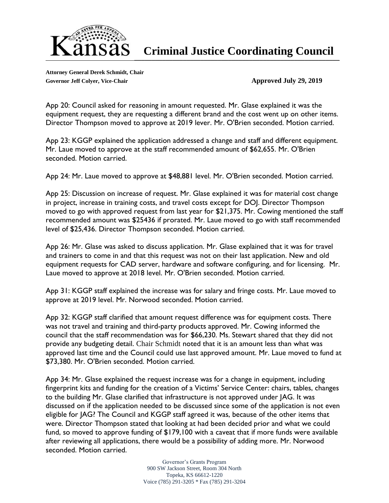

**Attorney General Derek Schmidt, Chair** Governor Jeff Colyer, Vice-Chair **Approved July 29, 2019** 

App 20: Council asked for reasoning in amount requested. Mr. Glase explained it was the equipment request, they are requesting a different brand and the cost went up on other items. Director Thompson moved to approve at 2019 lever. Mr. O'Brien seconded. Motion carried.

App 23: KGGP explained the application addressed a change and staff and different equipment. Mr. Laue moved to approve at the staff recommended amount of \$62,655. Mr. O'Brien seconded. Motion carried.

App 24: Mr. Laue moved to approve at \$48,881 level. Mr. O'Brien seconded. Motion carried.

App 25: Discussion on increase of request. Mr. Glase explained it was for material cost change in project, increase in training costs, and travel costs except for DOJ. Director Thompson moved to go with approved request from last year for \$21,375. Mr. Cowing mentioned the staff recommended amount was \$25436 if prorated. Mr. Laue moved to go with staff recommended level of \$25,436. Director Thompson seconded. Motion carried.

App 26: Mr. Glase was asked to discuss application. Mr. Glase explained that it was for travel and trainers to come in and that this request was not on their last application. New and old equipment requests for CAD server, hardware and software configuring, and for licensing. Mr. Laue moved to approve at 2018 level. Mr. O'Brien seconded. Motion carried.

App 31: KGGP staff explained the increase was for salary and fringe costs. Mr. Laue moved to approve at 2019 level. Mr. Norwood seconded. Motion carried.

App 32: KGGP staff clarified that amount request difference was for equipment costs. There was not travel and training and third-party products approved. Mr. Cowing informed the council that the staff recommendation was for \$66,230. Ms. Stewart shared that they did not provide any budgeting detail. Chair Schmidt noted that it is an amount less than what was approved last time and the Council could use last approved amount. Mr. Laue moved to fund at \$73,380. Mr. O'Brien seconded. Motion carried.

App 34: Mr. Glase explained the request increase was for a change in equipment, including fingerprint kits and funding for the creation of a Victims' Service Center: chairs, tables, changes to the building Mr. Glase clarified that infrastructure is not approved under JAG. It was discussed on if the application needed to be discussed since some of the application is not even eligible for JAG? The Council and KGGP staff agreed it was, because of the other items that were. Director Thompson stated that looking at had been decided prior and what we could fund, so moved to approve funding of \$179,100 with a caveat that if more funds were available after reviewing all applications, there would be a possibility of adding more. Mr. Norwood seconded. Motion carried.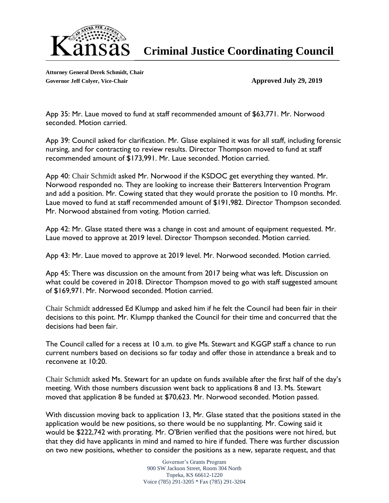

**Attorney General Derek Schmidt, Chair Governor Jeff Colyer, Vice-Chair Approved July 29, 2019**

App 35: Mr. Laue moved to fund at staff recommended amount of \$63,771. Mr. Norwood seconded. Motion carried.

App 39: Council asked for clarification. Mr. Glase explained it was for all staff, including forensic nursing, and for contracting to review results. Director Thompson moved to fund at staff recommended amount of \$173,991. Mr. Laue seconded. Motion carried.

App 40: Chair Schmidt asked Mr. Norwood if the KSDOC get everything they wanted. Mr. Norwood responded no. They are looking to increase their Batterers Intervention Program and add a position. Mr. Cowing stated that they would prorate the position to 10 months. Mr. Laue moved to fund at staff recommended amount of \$191,982. Director Thompson seconded. Mr. Norwood abstained from voting. Motion carried.

App 42: Mr. Glase stated there was a change in cost and amount of equipment requested. Mr. Laue moved to approve at 2019 level. Director Thompson seconded. Motion carried.

App 43: Mr. Laue moved to approve at 2019 level. Mr. Norwood seconded. Motion carried.

App 45: There was discussion on the amount from 2017 being what was left. Discussion on what could be covered in 2018. Director Thompson moved to go with staff suggested amount of \$169,971. Mr. Norwood seconded. Motion carried.

Chair Schmidt addressed Ed Klumpp and asked him if he felt the Council had been fair in their decisions to this point. Mr. Klumpp thanked the Council for their time and concurred that the decisions had been fair.

The Council called for a recess at 10 a.m. to give Ms. Stewart and KGGP staff a chance to run current numbers based on decisions so far today and offer those in attendance a break and to reconvene at 10:20.

Chair Schmidt asked Ms. Stewart for an update on funds available after the first half of the day's meeting. With those numbers discussion went back to applications 8 and 13. Ms. Stewart moved that application 8 be funded at \$70,623. Mr. Norwood seconded. Motion passed.

With discussion moving back to application 13, Mr. Glase stated that the positions stated in the application would be new positions, so there would be no supplanting. Mr. Cowing said it would be \$222,742 with prorating. Mr. O'Brien verified that the positions were not hired, but that they did have applicants in mind and named to hire if funded. There was further discussion on two new positions, whether to consider the positions as a new, separate request, and that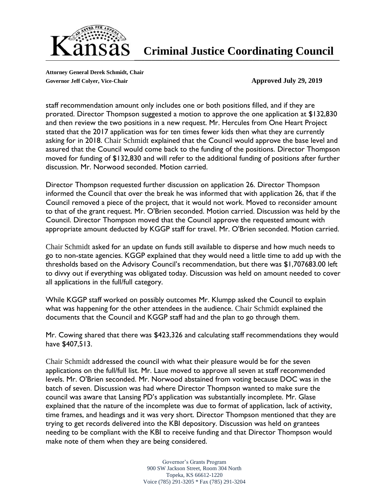

**Attorney General Derek Schmidt, Chair** Governor Jeff Colyer, Vice-Chair **Approved July 29, 2019** 

staff recommendation amount only includes one or both positions filled, and if they are prorated. Director Thompson suggested a motion to approve the one application at \$132,830 and then review the two positions in a new request. Mr. Hercules from One Heart Project stated that the 2017 application was for ten times fewer kids then what they are currently asking for in 2018. Chair Schmidt explained that the Council would approve the base level and assured that the Council would come back to the funding of the positions. Director Thompson moved for funding of \$132,830 and will refer to the additional funding of positions after further discussion. Mr. Norwood seconded. Motion carried.

Director Thompson requested further discussion on application 26. Director Thompson informed the Council that over the break he was informed that with application 26, that if the Council removed a piece of the project, that it would not work. Moved to reconsider amount to that of the grant request. Mr. O'Brien seconded. Motion carried. Discussion was held by the Council. Director Thompson moved that the Council approve the requested amount with appropriate amount deducted by KGGP staff for travel. Mr. O'Brien seconded. Motion carried.

Chair Schmidt asked for an update on funds still available to disperse and how much needs to go to non-state agencies. KGGP explained that they would need a little time to add up with the thresholds based on the Advisory Council's recommendation, but there was \$1,707683.00 left to divvy out if everything was obligated today. Discussion was held on amount needed to cover all applications in the full/full category.

While KGGP staff worked on possibly outcomes Mr. Klumpp asked the Council to explain what was happening for the other attendees in the audience. Chair Schmidt explained the documents that the Council and KGGP staff had and the plan to go through them.

Mr. Cowing shared that there was \$423,326 and calculating staff recommendations they would have \$407,513.

Chair Schmidt addressed the council with what their pleasure would be for the seven applications on the full/full list. Mr. Laue moved to approve all seven at staff recommended levels. Mr. O'Brien seconded. Mr. Norwood abstained from voting because DOC was in the batch of seven. Discussion was had where Director Thompson wanted to make sure the council was aware that Lansing PD's application was substantially incomplete. Mr. Glase explained that the nature of the incomplete was due to format of application, lack of activity, time frames, and headings and it was very short. Director Thompson mentioned that they are trying to get records delivered into the KBI depository. Discussion was held on grantees needing to be compliant with the KBI to receive funding and that Director Thompson would make note of them when they are being considered.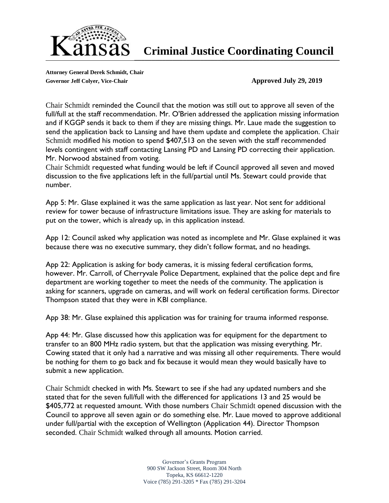

**Attorney General Derek Schmidt, Chair Governor Jeff Colyer, Vice-Chair Approved July 29, 2019**

Chair Schmidt reminded the Council that the motion was still out to approve all seven of the full/full at the staff recommendation. Mr. O'Brien addressed the application missing information and if KGGP sends it back to them if they are missing things. Mr. Laue made the suggestion to send the application back to Lansing and have them update and complete the application. Chair Schmidt modified his motion to spend \$407,513 on the seven with the staff recommended levels contingent with staff contacting Lansing PD and Lansing PD correcting their application. Mr. Norwood abstained from voting.

Chair Schmidt requested what funding would be left if Council approved all seven and moved discussion to the five applications left in the full/partial until Ms. Stewart could provide that number.

App 5: Mr. Glase explained it was the same application as last year. Not sent for additional review for tower because of infrastructure limitations issue. They are asking for materials to put on the tower, which is already up, in this application instead.

App 12: Council asked why application was noted as incomplete and Mr. Glase explained it was because there was no executive summary, they didn't follow format, and no headings.

App 22: Application is asking for body cameras, it is missing federal certification forms, however. Mr. Carroll, of Cherryvale Police Department, explained that the police dept and fire department are working together to meet the needs of the community. The application is asking for scanners, upgrade on cameras, and will work on federal certification forms. Director Thompson stated that they were in KBI compliance.

App 38: Mr. Glase explained this application was for training for trauma informed response.

App 44: Mr. Glase discussed how this application was for equipment for the department to transfer to an 800 MHz radio system, but that the application was missing everything. Mr. Cowing stated that it only had a narrative and was missing all other requirements. There would be nothing for them to go back and fix because it would mean they would basically have to submit a new application.

Chair Schmidt checked in with Ms. Stewart to see if she had any updated numbers and she stated that for the seven full/full with the differenced for applications 13 and 25 would be \$405,772 at requested amount. With those numbers Chair Schmidt opened discussion with the Council to approve all seven again or do something else. Mr. Laue moved to approve additional under full/partial with the exception of Wellington (Application 44). Director Thompson seconded. Chair Schmidt walked through all amounts. Motion carried.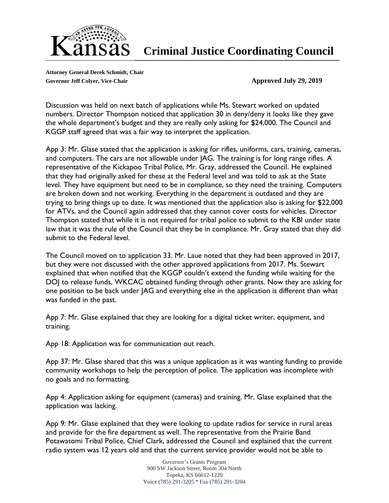

**Attorney General Derek Schmidt, Chair Governor Jeff Colyer, Vice-Chair Approved July 29, 2019**

Discussion was held on next batch of applications while Ms. Stewart worked on updated numbers. Director Thompson noticed that application 30 in deny/deny it looks like they gave the whole department's budget and they are really only asking for \$24,000. The Council and KGGP staff agreed that was a fair way to interpret the application.

App 3: Mr. Glase stated that the application is asking for rifles, uniforms, cars, training, cameras, and computers. The cars are not allowable under JAG. The training is for long range rifles. A representative of the Kickapoo Tribal Police, Mr. Gray, addressed the Council. He explained that they had originally asked for these at the Federal level and was told to ask at the State level. They have equipment but need to be in compliance, so they need the training. Computers are broken down and not working. Everything in the department is outdated and they are trying to bring things up to date. It was mentioned that the application also is asking for \$22,000 for ATVs, and the Council again addressed that they cannot cover costs for vehicles. Director Thompson stated that while it is not required for tribal police to submit to the KBI under state law that it was the rule of the Council that they be in compliance. Mr. Gray stated that they did submit to the Federal level.

The Council moved on to application 33. Mr. Laue noted that they had been approved in 2017, but they were not discussed with the other approved applications from 2017. Ms. Stewart explained that when notified that the KGGP couldn't extend the funding while waiting for the DOJ to release funds, WKCAC obtained funding through other grants. Now they are asking for one position to be back under JAG and everything else in the application is different than what was funded in the past.

App 7: Mr. Glase explained that they are looking for a digital ticket writer, equipment, and training.

App 18: Application was for communication out reach.

App 37: Mr. Glase shared that this was a unique application as it was wanting funding to provide community workshops to help the perception of police. The application was incomplete with no goals and no formatting.

App 4: Application asking for equipment (cameras) and training. Mr. Glase explained that the application was lacking.

App 9: Mr. Glase explained that they were looking to update radios for service in rural areas and provide for the fire department as well. The representative from the Prairie Band Potawatomi Tribal Police, Chief Clark, addressed the Council and explained that the current radio system was 12 years old and that the current service provider would not be able to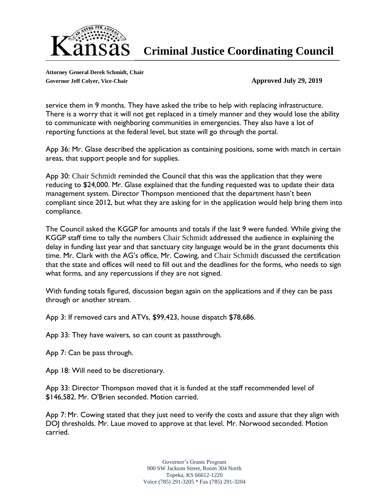

**Attorney General Derek Schmidt, Chair** Governor Jeff Colyer, Vice-Chair **Approved July 29, 2019** 

service them in 9 months. They have asked the tribe to help with replacing infrastructure. There is a worry that it will not get replaced in a timely manner and they would lose the ability to communicate with neighboring communities in emergencies. They also have a lot of reporting functions at the federal level, but state will go through the portal.

App 36: Mr. Glase described the application as containing positions, some with match in certain areas, that support people and for supplies.

App 30: Chair Schmidt reminded the Council that this was the application that they were reducing to \$24,000. Mr. Glase explained that the funding requested was to update their data management system. Director Thompson mentioned that the department hasn't been compliant since 2012, but what they are asking for in the application would help bring them into compliance.

The Council asked the KGGP for amounts and totals if the last 9 were funded. While giving the KGGP staff time to tally the numbers Chair Schmidt addressed the audience in explaining the delay in funding last year and that sanctuary city language would be in the grant documents this time. Mr. Clark with the AG's office, Mr. Cowing, and Chair Schmidt discussed the certification that the state and offices will need to fill out and the deadlines for the forms, who needs to sign what forms, and any repercussions if they are not signed.

With funding totals figured, discussion began again on the applications and if they can be pass through or another stream.

App 3: If removed cars and ATVs, \$99,423, house dispatch \$78,686.

App 33: They have waivers, so can count as passthrough.

App 7: Can be pass through.

App 18: Will need to be discretionary.

App 33: Director Thompson moved that it is funded at the staff recommended level of \$146,582. Mr. O'Brien seconded. Motion carried.

App 7: Mr. Cowing stated that they just need to verify the costs and assure that they align with DOJ thresholds. Mr. Laue moved to approve at that level. Mr. Norwood seconded. Motion carried.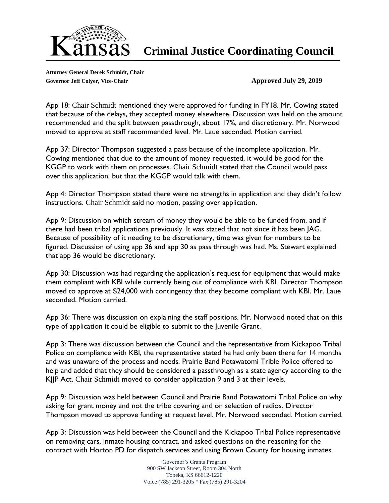

**Attorney General Derek Schmidt, Chair Governor Jeff Colyer, Vice-Chair Approved July 29, 2019**

App 18: Chair Schmidt mentioned they were approved for funding in FY18. Mr. Cowing stated that because of the delays, they accepted money elsewhere. Discussion was held on the amount recommended and the split between passthrough, about 17%, and discretionary. Mr. Norwood moved to approve at staff recommended level. Mr. Laue seconded. Motion carried.

App 37: Director Thompson suggested a pass because of the incomplete application. Mr. Cowing mentioned that due to the amount of money requested, it would be good for the KGGP to work with them on processes. Chair Schmidt stated that the Council would pass over this application, but that the KGGP would talk with them.

App 4: Director Thompson stated there were no strengths in application and they didn't follow instructions. Chair Schmidt said no motion, passing over application.

App 9: Discussion on which stream of money they would be able to be funded from, and if there had been tribal applications previously. It was stated that not since it has been JAG. Because of possibility of it needing to be discretionary, time was given for numbers to be figured. Discussion of using app 36 and app 30 as pass through was had. Ms. Stewart explained that app 36 would be discretionary.

App 30: Discussion was had regarding the application's request for equipment that would make them compliant with KBI while currently being out of compliance with KBI. Director Thompson moved to approve at \$24,000 with contingency that they become compliant with KBI. Mr. Laue seconded. Motion carried.

App 36: There was discussion on explaining the staff positions. Mr. Norwood noted that on this type of application it could be eligible to submit to the Juvenile Grant.

App 3: There was discussion between the Council and the representative from Kickapoo Tribal Police on compliance with KBI, the representative stated he had only been there for 14 months and was unaware of the process and needs. Prairie Band Potawatomi Trible Police offered to help and added that they should be considered a passthrough as a state agency according to the KJJP Act. Chair Schmidt moved to consider application 9 and 3 at their levels.

App 9: Discussion was held between Council and Prairie Band Potawatomi Tribal Police on why asking for grant money and not the tribe covering and on selection of radios. Director Thompson moved to approve funding at request level. Mr. Norwood seconded. Motion carried.

App 3: Discussion was held between the Council and the Kickapoo Tribal Police representative on removing cars, inmate housing contract, and asked questions on the reasoning for the contract with Horton PD for dispatch services and using Brown County for housing inmates.